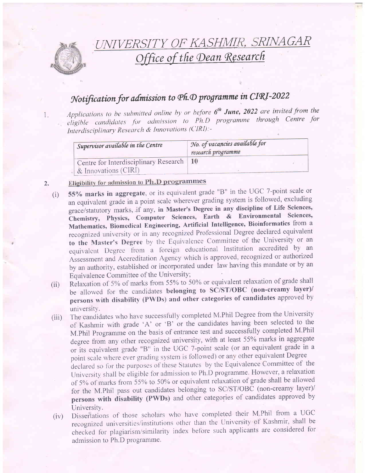

UNTVER  $DINIACAP$ Office of the Dean Research

## Notification for admission to Ph.D programme in CIRI-2022

Applications to be submitted online by or before  $6^{th}$  June, 2022 are invited from the 1 eligible candidates for admission to Ph.D programme through Centre for z. Interdisciplinary Research & Innovations (CIRI):-

| Supervisor available in the Centre                                 | No. of vacancies available for<br>research programme |  |
|--------------------------------------------------------------------|------------------------------------------------------|--|
| Centre for Interdisciplinary Research   10<br>& Innovations (CIRI) |                                                      |  |

## 2. Eligibility for admission to Ph.D programmes

- (i) 55% marks in aggregate, or its equivalent grade "B" in the UGC 7-point scale or an equivalent grade in a point scale wherever grading system is followed, excluding grace/statutory marks, if any, in Master's Degree in any discipline of Life Sciences, Chemistry, Physics, Computer Sciences, Earth & Environmental Sciences, Mathematics, Biomedical Engineering, Artificial Intelligence, Bioinformatics from <sup>a</sup> recognized university or in any recognized Professional Degree declared equivalent to the Master's Degree by the Equivalence Committee of the University or an equivalent Degree from a foreign educational Institution accredited by an Assessment and Accreditation Agency which is approved, recognized or authorized by an authority, established or incorporated under law having this mandate or by an Equivalence Committee of the University;
- (ii) Relaxation of 5% of marks from 55% to 50% or equivalent relaxation of grade shall be allowed for the candidates belonging to SC/ST/OBC (non-creamy layer)/ persons with disability (PWDs) and other categories of candidates approved by universitY.
- (iii) The candidates who have successfully completed M.Phil Degree from the University of Kashmir with grade 'A' or 'B' or the candidates having been selected to the M.Phil Programme on the basis of entrance test and successfully completed M.Phil degree from any other recognized university, with at least 55% marks in aggregate or its equivalent grade "B" in the UGC 7-point scale (or an equivalent grade in <sup>a</sup> point scale where ever grading system is followed) or any other equivalent Degree declared so for the purposes of these Statutes by the Equivalence Committee of the University shall be eligible for admission to Ph.D programme. However, a relaxation of 5% of marks from 55% to 50% or equivalent relaxation of grade shall be allowed for the M.Phil pass out candidates belonging to SC/ST/OBC (non-creamy layer)/ persons with disabilify (PWDs) and other categories of candidates approved by University.
- (iv) Dissertations of those scholars who have completed their M.Phil from a UGC recognized universities/institutions other than the University of Kashmir, shall be checked for plagiarism/similarity index before such applicants are considered for admission to Ph.D programme.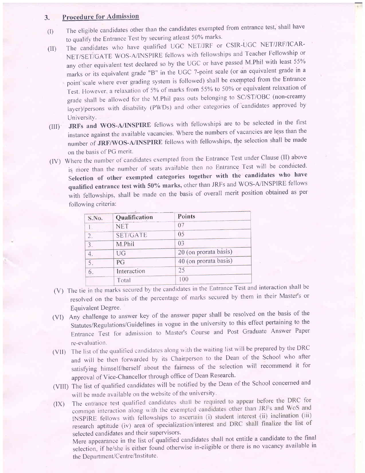## 3. Procedure for Admission

- (I) The eligible candidates other than the candidates exempted from entrance test, shall have to qualify the Entrance Test by securing atleast 50% marks.
- (II) The candidates who have qualified UGC NET/JRF or CSIR-UGC NET/JRF/ICAR-NET/SET/GATE WOS-A/INSPIRE fellows with fellowships and Teacher Fellowship or any other equivalent test declared so by the UGC or have passed M.Phil with least 55% marks or its equivalent grade "B" in the UGC 7-point scale (or'an equivalent grade in <sup>a</sup> point scale where ever grading system is followed) shall be exempted from the Entrance Test. However, a relaxation of 5% of marks from 55% to 50% or equivalent relaxation of grade shall be allowed for the M.Phil pass outs belonging to SC/ST/OBC (non-creamy layer)/persons with disability (PWDs) and other categories of 'candidates approved by UniversitY.
- (ilI) JRFs and WOS-A/INSPIRE fellows with fellowships are to be selected in the first instance against the available vacancies. Where the numbers of vacancies are less than the number of JRF/WOS-A/INSPIRE fellows with fellowships, the selection shall be made on the basis of PG merit.
- (lv) where the number ot'candidates exempted frorn the Entrance Test under clause (lI) above is more than the number of seats available then no Entrance Test will be conducted. Selection of other exempted categories together with the candidates who have qualified entrance test with 50% marks, other than JRFs and WOS-A/INSPIRE fellows with fellowships, shall be made on the basis of overall merit position obtained as per following criteria:

| S.No.                     | Qualification   | Points                |
|---------------------------|-----------------|-----------------------|
|                           | <b>NET</b>      | 07                    |
| $\overline{2}$ .          | <b>SET/GATE</b> | 05                    |
| $\overline{3}$ .          | M.Phil          | 0 <sup>3</sup>        |
|                           | <b>UG</b>       | 20 (on prorata basis) |
| 5                         | PG              | 40 (on prorata basis) |
| Interaction<br>6<br>Total | 25              |                       |
|                           | 100             |                       |

- (V) The tie in the marks secured by the candidates in the Entrance Test and interaction shall be resolved on the basis of the percentage of marks secured by them in their Master's or Equivalent Degree.
- (Vl) Any challerige to answer key of the answer paper shall be resolved on the basis of the Statutes/Regulations/Guidelines in vogue in the university to this effect pertaining to the Entrance Test for adrnission to Master's Course and Post Graduate Answer Paper re-evaluation.
- (VII) The list of the qualified candidates along with the waiting list will be prepared by the DRC and will be then forwarded by its Chairperson to the Dean of the School who after satisfying himself/herself about the fairness of the selection will recommend it for approval of Vice-Chancellor through office of Dean Research'
- (VIII) The list of qualified candidates will be notified by the Dean of the School concerned and will be made available on the website of the university.
- (IX) The entrance test qualified candidates shall be required to appear before the DRC for common interaction along with the exempted candidates other than JRFs and WoS and INSPIRE fellows with fellowships to ascertain (i) student interest (ii) inclination (iii) research aptitude (iv) area of specialization/interest and DRC shall finalize the list of selected candidates and their supervisors.

Mere appearance in the list of qualified candidates shall not entitle a candidate to the final selection. if he/she is either found otherwise in-eligible or there is no vacancy available in the Department/Centre/Institute.